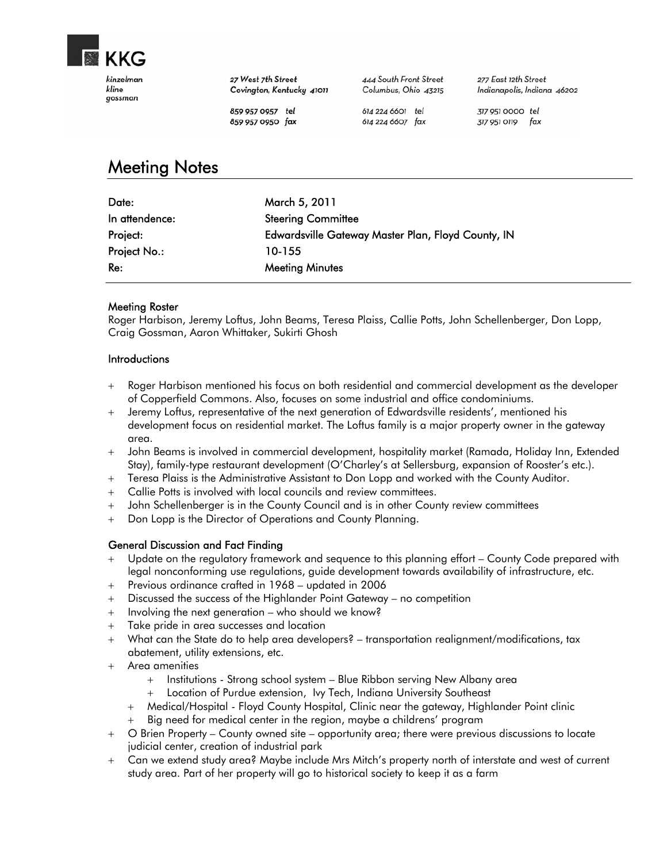

27 West 7th Street Covington, Kentucky 41011 444 South Front Street Columbus, Ohio 43215

277 East 12th Street Indianapolis, Indiana 46202

859 957 0957 tel 859 957 0950 fax

614 224 6601 tel 614 224 6607 fax 317 951 0000 tel 317 951 0119 fax

# Meeting Notes

| Date:          | March 5, 2011                                      |
|----------------|----------------------------------------------------|
| In attendence: | <b>Steering Committee</b>                          |
| Project:       | Edwardsville Gateway Master Plan, Floyd County, IN |
| Project No.:   | 10-155                                             |
| Re:            | <b>Meeting Minutes</b>                             |

### Meeting Roster

Roger Harbison, Jeremy Loftus, John Beams, Teresa Plaiss, Callie Potts, John Schellenberger, Don Lopp, Craig Gossman, Aaron Whittaker, Sukirti Ghosh

#### **Introductions**

- Roger Harbison mentioned his focus on both residential and commercial development as the developer of Copperfield Commons. Also, focuses on some industrial and office condominiums.
- Jeremy Loftus, representative of the next generation of Edwardsville residents', mentioned his development focus on residential market. The Loftus family is a major property owner in the gateway area.
- John Beams is involved in commercial development, hospitality market (Ramada, Holiday Inn, Extended Stay), family-type restaurant development (O'Charley's at Sellersburg, expansion of Rooster's etc.).
- Teresa Plaiss is the Administrative Assistant to Don Lopp and worked with the County Auditor.
- Callie Potts is involved with local councils and review committees.
- John Schellenberger is in the County Council and is in other County review committees
- Don Lopp is the Director of Operations and County Planning.

### General Discussion and Fact Finding

- Update on the regulatory framework and sequence to this planning effort County Code prepared with legal nonconforming use regulations, guide development towards availability of infrastructure, etc.
- Previous ordinance crafted in 1968 updated in 2006
- Discussed the success of the Highlander Point Gateway no competition
- $+$  Involving the next generation who should we know?
- Take pride in area successes and location
- What can the State do to help area developers? transportation realignment/modifications, tax abatement, utility extensions, etc.
- Area amenities
	- + Institutions Strong school system Blue Ribbon serving New Albany area
	- Location of Purdue extension, Ivy Tech, Indiana University Southeast
	- Medical/Hospital Floyd County Hospital, Clinic near the gateway, Highlander Point clinic
	- Big need for medical center in the region, maybe a childrens' program
- O Brien Property County owned site opportunity area; there were previous discussions to locate judicial center, creation of industrial park
- Can we extend study area? Maybe include Mrs Mitch's property north of interstate and west of current study area. Part of her property will go to historical society to keep it as a farm